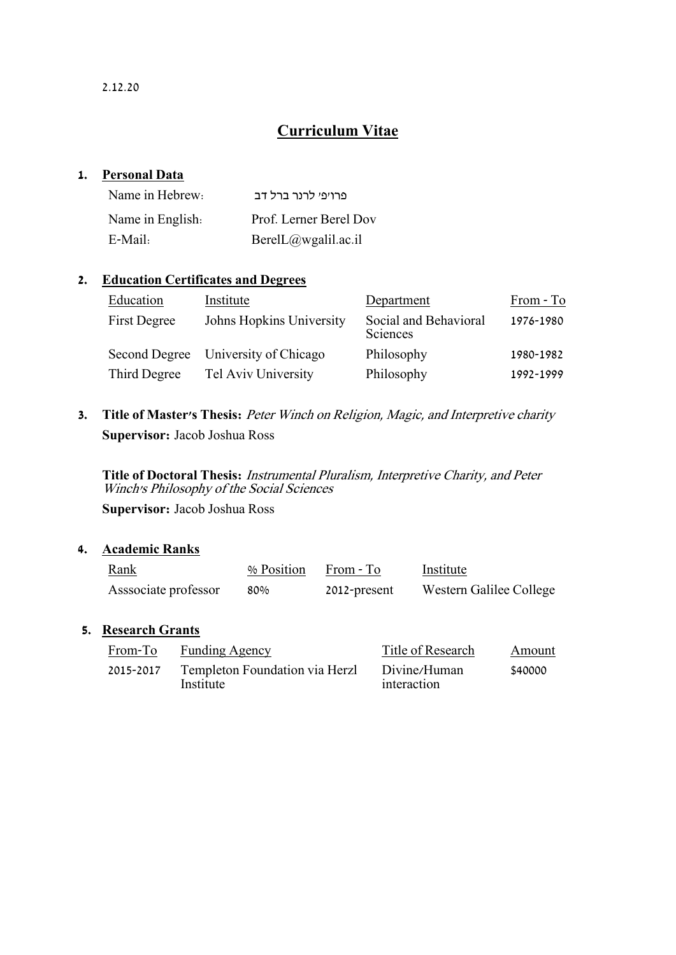# **Curriculum Vitae**

# **1. Personal Data**

| Name in Hebrew:  | פרויפי לרנר ברל דב     |
|------------------|------------------------|
| Name in English. | Prof. Lerner Berel Dov |
| E-Mail:          | BerelL@wgalil.ac.i1    |

# **2. Education Certificates and Degrees**

| Education            | Institute                | Department                        | From - To |
|----------------------|--------------------------|-----------------------------------|-----------|
| <b>First Degree</b>  | Johns Hopkins University | Social and Behavioral<br>Sciences | 1976-1980 |
| <b>Second Degree</b> | University of Chicago    | Philosophy                        | 1980-1982 |
| Third Degree         | Tel Aviv University      | Philosophy                        | 1992-1999 |

**3. Title of Master's Thesis:** Peter Winch on Religion, Magic, and Interpretive charity **Supervisor:** Jacob Joshua Ross

**Title of Doctoral Thesis:** Instrumental Pluralism, Interpretive Charity, and Peter Winch's Philosophy of the Social Sciences

**Supervisor:** Jacob Joshua Ross

# **4. Academic Ranks**

| Rank<br>the contract of the contract of the contract of | % Position | From - To    | Institute               |
|---------------------------------------------------------|------------|--------------|-------------------------|
| Associate professor                                     | 80%        | 2012-present | Western Galilee College |

# **5. Research Grants**

| From-To   | <b>Funding Agency</b>                       | Title of Research           | Amount  |
|-----------|---------------------------------------------|-----------------------------|---------|
| 2015-2017 | Templeton Foundation via Herzl<br>Institute | Divine/Human<br>interaction | \$40000 |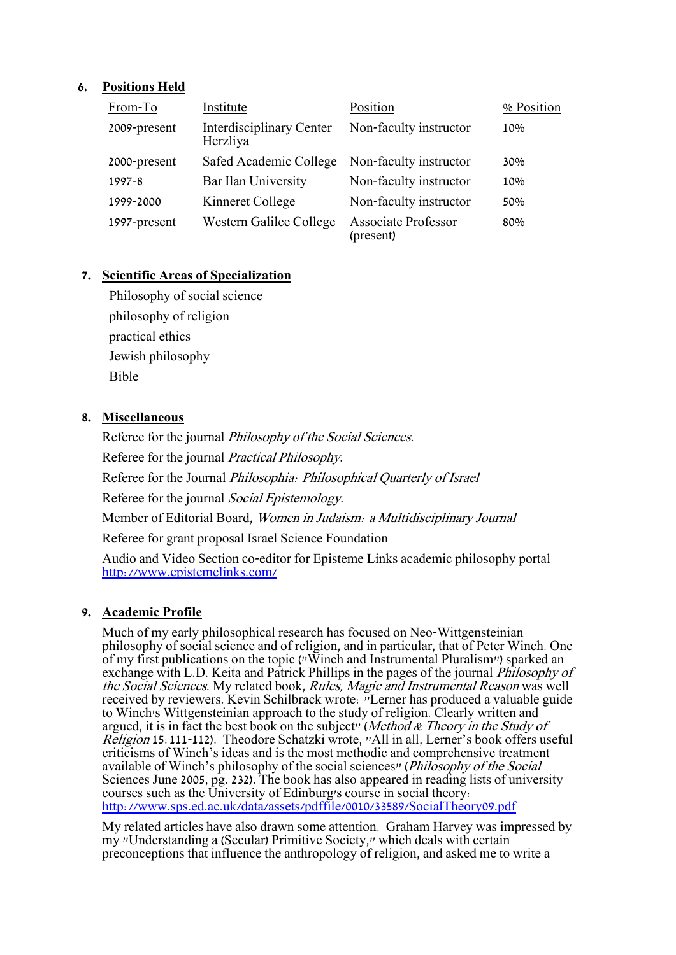# **6. Positions Held**

| From-To      | Institute                                   | Position                                | % Position |
|--------------|---------------------------------------------|-----------------------------------------|------------|
| 2009-present | <b>Interdisciplinary Center</b><br>Herzliya | Non-faculty instructor                  | 10%        |
| 2000-present | Safed Academic College                      | Non-faculty instructor                  | 30%        |
| 1997-8       | Bar Ilan University                         | Non-faculty instructor                  | 10%        |
| 1999-2000    | Kinneret College                            | Non-faculty instructor                  | 50%        |
| 1997-present | Western Galilee College                     | <b>Associate Professor</b><br>(present) | 80%        |

# **7. Scientific Areas of Specialization**

Philosophy of social science philosophy of religion practical ethics Jewish philosophy Bible

### **8. Miscellaneous**

Referee for the journal Philosophy of the Social Sciences. Referee for the journal Practical Philosophy. Referee for the Journal Philosophia: Philosophical Quarterly of Israel Referee for the journal Social Epistemology. Member of Editorial Board, Women in Judaism: a Multidisciplinary Journal Referee for grant proposal Israel Science Foundation Audio and Video Section co-editor for Episteme Links academic philosophy portal <http://www.epistemelinks.com/>

# **9. Academic Profile**

Much of my early philosophical research has focused on Neo-Wittgensteinian philosophy of social science and of religion, and in particular, that of Peter Winch. One of my first publications on the topic ("Winch and Instrumental Pluralism") sparked an exchange with L.D. Keita and Patrick Phillips in the pages of the journal *Philosophy of* the Social Sciences. My related book, Rules, Magic and Instrumental Reason was well received by reviewers. Kevin Schilbrack wrote: "Lerner has produced a valuable guide to Winch's Wittgensteinian approach to the study of religion. Clearly written and argued, it is in fact the best book on the subject" (Method & Theory in the Study of Religion 15:111-112). Theodore Schatzki wrote, "All in all, Lerner's book offers useful criticisms of Winch's ideas and is the most methodic and comprehensive treatment available of Winch's philosophy of the social sciences" (*Philosophy of the Social* Sciences June 2005, pg. 232). The book has also appeared in reading lists of university courses such as the University of Edinburg's course in social theory: <http://www.sps.ed.ac.uk/data/assets/pdffile/0010/33589/SocialTheory09.pdf>

My related articles have also drawn some attention. Graham Harvey was impressed by my "Understanding a (Secular) Primitive Society," which deals with certain preconceptions that influence the anthropology of religion, and asked me to write a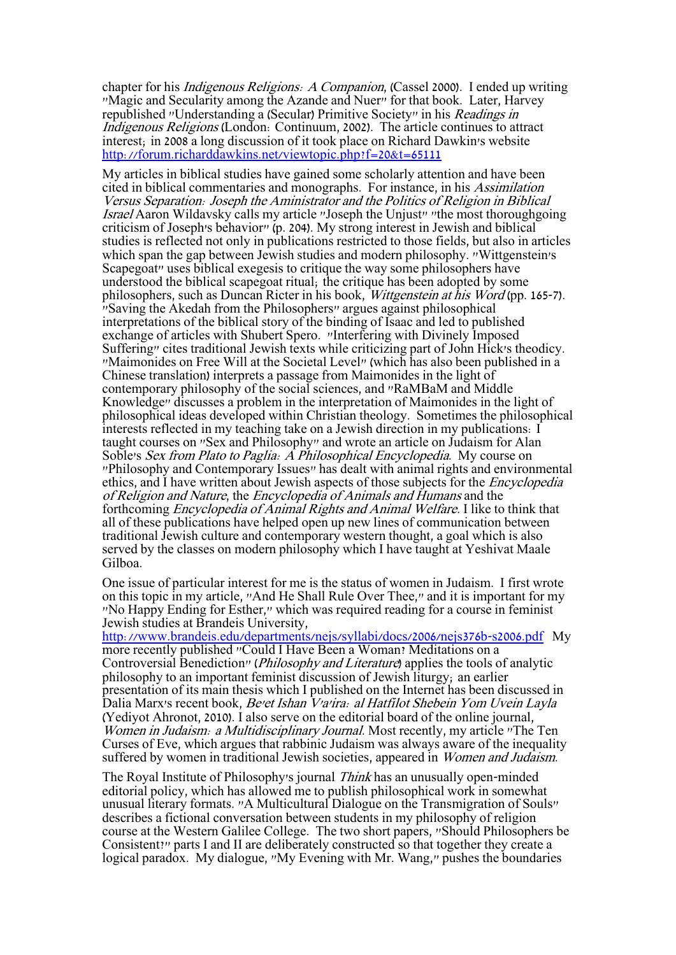chapter for his Indigenous Religions: A Companion, (Cassel 2000). I ended up writing "Magic and Secularity among the Azande and Nuer" for that book. Later, Harvey republished "Understanding a (Secular) Primitive Society" in his Readings in Indigenous Religions (London: Continuum, 2002). The article continues to attract interest; in 2008 a long discussion of it took place on Richard Dawkin's website <http://forum.richarddawkins.net/viewtopic.php?f=20&t=65111>

My articles in biblical studies have gained some scholarly attention and have been cited in biblical commentaries and monographs. For instance, in his Assimilation Versus Separation: Joseph the Aministrator and the Politics of Religion in Biblical Israel Aaron Wildavsky calls my article "Joseph the Unjust" "the most thoroughgoing criticism of Joseph's behavior" (p. 204). My strong interest in Jewish and biblical studies is reflected not only in publications restricted to those fields, but also in articles which span the gap between Jewish studies and modern philosophy. "Wittgenstein's Scapegoat" uses biblical exegesis to critique the way some philosophers have understood the biblical scapegoat ritual; the critique has been adopted by some philosophers, such as Duncan Ricter in his book, Wittgenstein at his Word (pp. 165-7). "Saving the Akedah from the Philosophers" argues against philosophical interpretations of the biblical story of the binding of Isaac and led to published exchange of articles with Shubert Spero. "Interfering with Divinely Imposed Suffering" cites traditional Jewish texts while criticizing part of John Hick's theodicy. "Maimonides on Free Will at the Societal Level" (which has also been published in a Chinese translation) interprets a passage from Maimonides in the light of contemporary philosophy of the social sciences, and "RaMBaM and Middle Knowledge" discusses a problem in the interpretation of Maimonides in the light of philosophical ideas developed within Christian theology. Sometimes the philosophical interests reflected in my teaching take on a Jewish direction in my publications: I taught courses on "Sex and Philosophy" and wrote an article on Judaism for Alan Soble's Sex from Plato to Paglia: A Philosophical Encyclopedia. My course on "Philosophy and Contemporary Issues" has dealt with animal rights and environmental ethics, and I have written about Jewish aspects of those subjects for the *Encyclopedia* of Religion and Nature, the Encyclopedia of Animals and Humans and the forthcoming Encyclopedia of Animal Rights and Animal Welfare. I like to think that all of these publications have helped open up new lines of communication between traditional Jewish culture and contemporary western thought, a goal which is also served by the classes on modern philosophy which I have taught at Yeshivat Maale Gilboa.

One issue of particular interest for me is the status of women in Judaism. I first wrote on this topic in my article, "And He Shall Rule Over Thee," and it is important for my "No Happy Ending for Esther," which was required reading for a course in feminist Jewish studies at Brandeis University,

<http://www.brandeis.edu/departments/nejs/syllabi/docs/2006/nejs376b-s2006.pdf>My more recently published "Could I Have Been a Woman? Meditations on a Controversial Benediction" (Philosophy and Literature) applies the tools of analytic philosophy to an important feminist discussion of Jewish liturgy; an earlier presentation of its main thesis which I published on the Internet has been discussed in Dalia Marx's recent book, Be'et Ishan V'a'ira: al Hatfilot Shebein Yom Uvein Layla (Yediyot Ahronot, 2010). I also serve on the editorial board of the online journal, Women in Judaism: a Multidisciplinary Journal. Most recently, my article "The Ten Curses of Eve, which argues that rabbinic Judaism was always aware of the inequality suffered by women in traditional Jewish societies, appeared in *Women and Judaism*.

The Royal Institute of Philosophy's journal Think has an unusually open-minded editorial policy, which has allowed me to publish philosophical work in somewhat unusual literary formats. "A Multicultural Dialogue on the Transmigration of Souls" describes a fictional conversation between students in my philosophy of religion course at the Western Galilee College. The two short papers, "Should Philosophers be Consistent?" parts I and II are deliberately constructed so that together they create a logical paradox. My dialogue, "My Evening with Mr. Wang," pushes the boundaries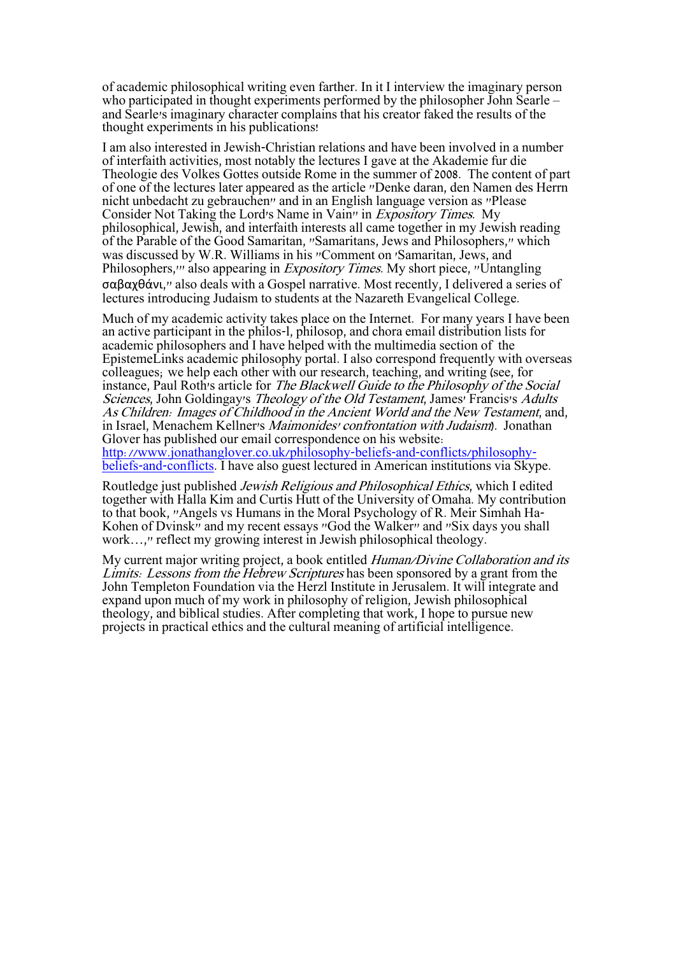of academic philosophical writing even farther. In it I interview the imaginary person who participated in thought experiments performed by the philosopher John Searle – and Searle's imaginary character complains that his creator faked the results of the thought experiments in his publications!

I am also interested in Jewish-Christian relations and have been involved in a number of interfaith activities, most notably the lectures I gave at the Akademie fur die Theologie des Volkes Gottes outside Rome in the summer of 2008. The content of part of one of the lectures later appeared as the article "Denke daran, den Namen des Herrn nicht unbedacht zu gebrauchen" and in an English language version as "Please Consider Not Taking the Lord's Name in Vain" in Expository Times. My philosophical, Jewish, and interfaith interests all came together in my Jewish reading of the Parable of the Good Samaritan, "Samaritans, Jews and Philosophers," which was discussed by W.R. Williams in his "Comment on 'Samaritan, Jews, and Philosophers,'" also appearing in Expository Times. My short piece, "Untangling σαβαχθάνι," also deals with a Gospel narrative. Most recently, I delivered a series of lectures introducing Judaism to students at the Nazareth Evangelical College.

Much of my academic activity takes place on the Internet. For many years I have been an active participant in the philos-l, philosop, and chora email distribution lists for academic philosophers and I have helped with the multimedia section of the EpistemeLinks academic philosophy portal. I also correspond frequently with overseas colleagues; we help each other with our research, teaching, and writing (see, for instance, Paul Roth's article for The Blackwell Guide to the Philosophy of the Social Sciences, John Goldingay's Theology of the Old Testament, James' Francis's Adults As Children: Images of Childhood in the Ancient World and the New Testament, and, in Israel, Menachem Kellner's Maimonides' confrontation with Judaism). Jonathan Glover has published our email correspondence on his website: [http://www.jonathanglover.co.uk/philosophy-beliefs-and-conflicts/philosophy](http://www.jonathanglover.co.uk/philosophy-beliefs-and-conflicts/philosophy-beliefs-and-conflicts)[beliefs-and-conflicts.](http://www.jonathanglover.co.uk/philosophy-beliefs-and-conflicts/philosophy-beliefs-and-conflicts) I have also guest lectured in American institutions via Skype.

Routledge just published Jewish Religious and Philosophical Ethics, which I edited together with Halla Kim and Curtis Hutt of the University of Omaha. My contribution to that book, "Angels vs Humans in the Moral Psychology of R. Meir Simhah Ha-Kohen of Dvinsk" and my recent essays "God the Walker" and "Six days you shall work…," reflect my growing interest in Jewish philosophical theology.

My current major writing project, a book entitled *Human/Divine Collaboration and its* Limits: Lessons from the Hebrew Scriptures has been sponsored by a grant from the John Templeton Foundation via the Herzl Institute in Jerusalem. It will integrate and expand upon much of my work in philosophy of religion, Jewish philosophical theology, and biblical studies. After completing that work, I hope to pursue new projects in practical ethics and the cultural meaning of artificial intelligence.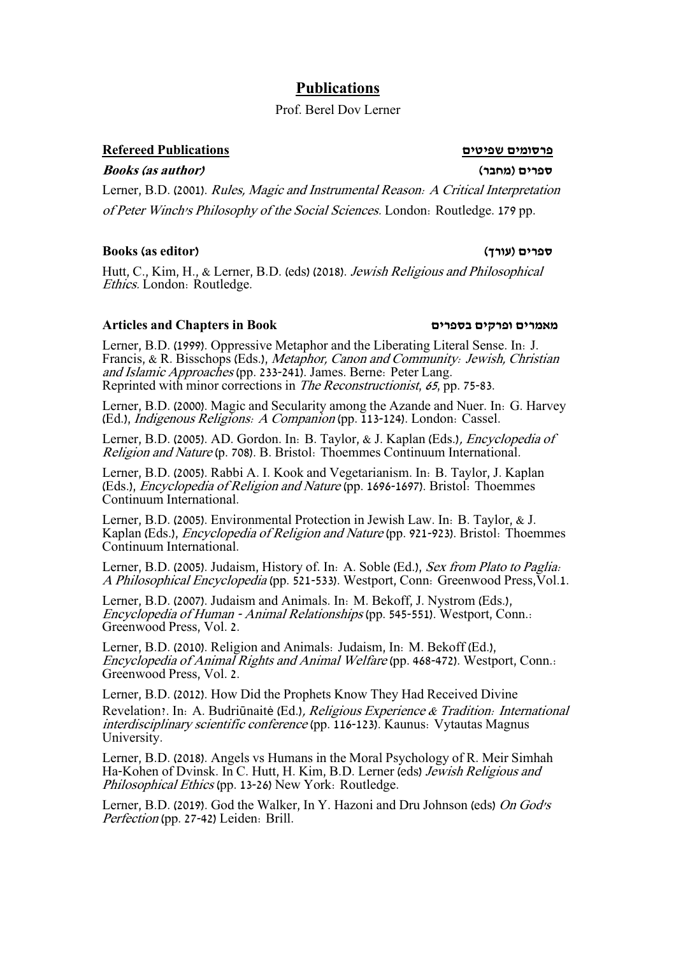# **Publications**

## Prof. Berel Dov Lerner

### **פרסומים שפיטים Publications Refereed**

**Books (as author) )מחבר )ספרים**

Lerner, B.D. (2001). Rules, Magic and Instrumental Reason: A Critical Interpretation of Peter Winch's Philosophy of the Social Sciences. London: Routledge. 179 pp.

#### **Books (as editor) )עורך )ספרים**

Hutt, C., Kim, H., & Lerner, B.D. (eds) (2018). Jewish Religious and Philosophical Ethics. London: Routledge.

### **Articles and Chapters in Book בספרים ופרקים מאמרים**

Lerner, B.D. (1999). Oppressive Metaphor and the Liberating Literal Sense. In: J. Francis, & R. Bisschops (Eds.), Metaphor, Canon and Community: Jewish, Christian and Islamic Approaches (pp. 233-241). James. Berne: Peter Lang. Reprinted with minor corrections in The Reconstructionist, 65, pp. 75-83.

Lerner, B.D. (2000). Magic and Secularity among the Azande and Nuer. In: G. Harvey (Ed.), Indigenous Religions: A Companion (pp. 113-124). London: Cassel.

Lerner, B.D. (2005). AD. Gordon. In: B. Taylor, & J. Kaplan (Eds.), Encyclopedia of Religion and Nature (p. 708). B. Bristol: Thoemmes Continuum International.

Lerner, B.D. (2005). Rabbi A. I. Kook and Vegetarianism. In: B. Taylor, J. Kaplan (Eds.), Encyclopedia of Religion and Nature (pp. 1696-1697). Bristol: Thoemmes Continuum International.

Lerner, B.D. (2005). Environmental Protection in Jewish Law. In: B. Taylor, & J. Kaplan (Eds.), Encyclopedia of Religion and Nature (pp. 921-923). Bristol: Thoemmes Continuum International.

Lerner, B.D. (2005). Judaism, History of. In: A. Soble (Ed.), Sex from Plato to Paglia: A Philosophical Encyclopedia (pp. 521-533). Westport, Conn: Greenwood Press,Vol.1.

Lerner, B.D. (2007). Judaism and Animals. In: M. Bekoff, J. Nystrom (Eds.), Encyclopedia of Human - Animal Relationships (pp. 545-551). Westport, Conn.: Greenwood Press, Vol. 2.

Lerner, B.D. (2010). Religion and Animals: Judaism, In: M. Bekoff (Ed.), Encyclopedia of Animal Rights and Animal Welfare (pp. 468-472). Westport, Conn.: Greenwood Press, Vol. 2.

Lerner, B.D. (2012). How Did the Prophets Know They Had Received Divine Revelation?. In: A. Budriūnaitė (Ed.), Religious Experience & Tradition: International interdisciplinary scientific conference (pp. 116-123). Kaunus: Vytautas Magnus University.

Lerner, B.D. (2018). Angels vs Humans in the Moral Psychology of R. Meir Simhah Ha-Kohen of Dvinsk. In C. Hutt, H. Kim, B.D. Lerner (eds) Jewish Religious and Philosophical Ethics (pp. 13-26) New York: Routledge.

Lerner, B.D. (2019). God the Walker, In Y. Hazoni and Dru Johnson (eds) On God's Perfection (pp. 27-42) Leiden: Brill.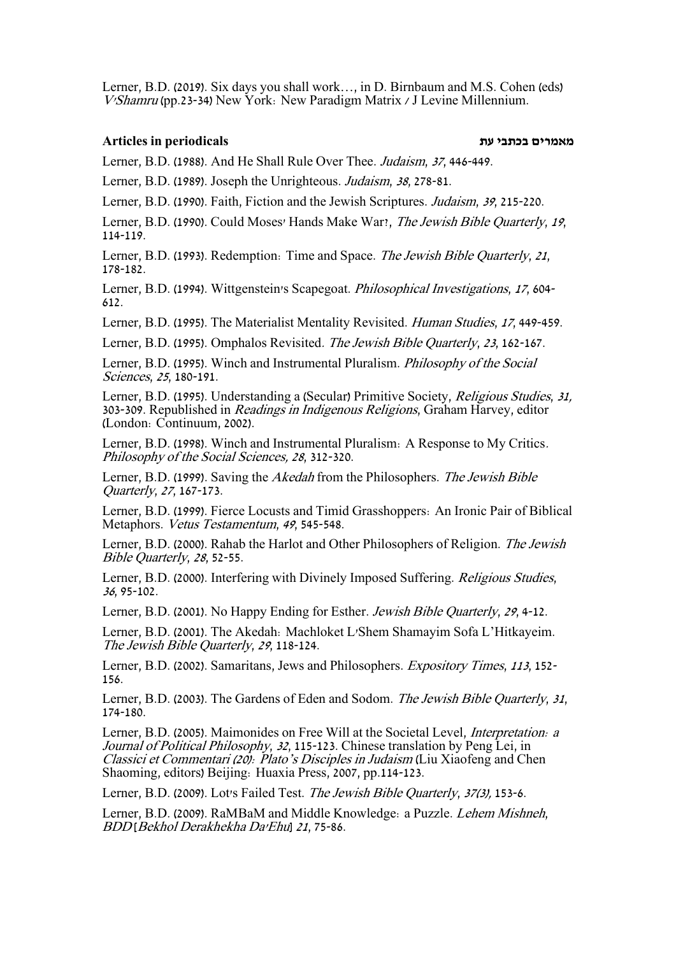Lerner, B.D. (2019). Six days you shall work…, in D. Birnbaum and M.S. Cohen (eds) V'Shamru (pp.23-34) New York: New Paradigm Matrix / J Levine Millennium.

#### **מאמרים בכתבי עת periodicals in Articles**

Lerner, B.D. (1988). And He Shall Rule Over Thee. Judaism, 37, 446-449.

Lerner, B.D. (1989). Joseph the Unrighteous. Judaism, 38, 278-81.

Lerner, B.D. (1990). Faith, Fiction and the Jewish Scriptures. Judaism, 39, 215-220.

Lerner, B.D. (1990). Could Moses' Hands Make War?, The Jewish Bible Quarterly, 19, 114-119.

Lerner, B.D. (1993). Redemption: Time and Space. The Jewish Bible Quarterly, 21. 178-182.

Lerner, B.D. (1994). Wittgenstein's Scapegoat. Philosophical Investigations, 17, 604- 612.

Lerner, B.D. (1995). The Materialist Mentality Revisited. Human Studies, 17, 449-459.

Lerner, B.D. (1995). Omphalos Revisited. The Jewish Bible Quarterly, 23, 162-167.

Lerner, B.D. (1995). Winch and Instrumental Pluralism. Philosophy of the Social Sciences, 25, 180-191.

Lerner, B.D. (1995). Understanding a (Secular) Primitive Society, Religious Studies, 31, 303-309. Republished in Readings in Indigenous Religions, Graham Harvey, editor (London: Continuum, 2002).

Lerner, B.D. (1998). Winch and Instrumental Pluralism: A Response to My Critics. Philosophy of the Social Sciences, 28, 312-320.

Lerner, B.D. (1999). Saving the Akedah from the Philosophers. The Jewish Bible Quarterly, 27, 167-173.

Lerner, B.D. (1999). Fierce Locusts and Timid Grasshoppers: An Ironic Pair of Biblical Metaphors. Vetus Testamentum, <sup>49</sup>, 545-548.

Lerner, B.D. (2000). Rahab the Harlot and Other Philosophers of Religion. The Jewish Bible Quarterly, 28, 52-55.

Lerner, B.D. (2000). Interfering with Divinely Imposed Suffering. Religious Studies, <sup>36</sup>, 95-102.

Lerner, B.D. (2001). No Happy Ending for Esther. Jewish Bible Quarterly, <sup>29</sup>, 4-12.

Lerner, B.D. (2001). The Akedah: Machloket L'Shem Shamayim Sofa L'Hitkayeim. The Jewish Bible Quarterly, 29, 118-124.

Lerner, B.D. (2002). Samaritans, Jews and Philosophers. Expository Times, <sup>113</sup>, 152- 156.

Lerner, B.D. (2003). The Gardens of Eden and Sodom. The Jewish Bible Quarterly, 31, 174-180.

Lerner, B.D. (2005). Maimonides on Free Will at the Societal Level, Interpretation: a Journal of Political Philosophy, <sup>32</sup>, 115-123. Chinese translation by Peng Lei, in Classici et Commentari (20): Plato's Disciples in Judaism (Liu Xiaofeng and Chen Shaoming, editors) Beijing: Huaxia Press, 2007, pp.114-123.

Lerner, B.D. (2009). Lot's Failed Test. The Jewish Bible Quarterly, 37(3), 153-6.

Lerner, B.D. (2009). RaMBaM and Middle Knowledge: a Puzzle. Lehem Mishneh, BDD [Bekhol Derakhekha Da'Ehu] <sup>21</sup>, 75-86.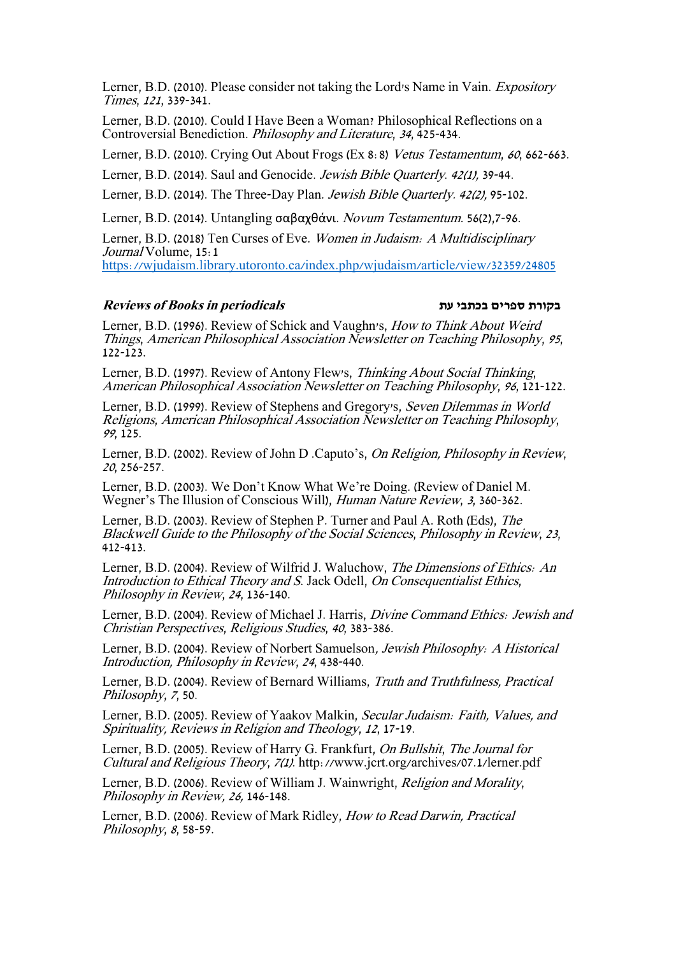Lerner, B.D. (2010). Please consider not taking the Lord's Name in Vain. Expository Times, 121, 339-341.

Lerner, B.D. (2010). Could I Have Been a Woman? Philosophical Reflections on a Controversial Benediction. Philosophy and Literature, 34, 425-434.

Lerner, B.D. (2010). Crying Out About Frogs (Ex 8:8) Vetus Testamentum, 60, 662-663.

Lerner, B.D. (2014). Saul and Genocide. Jewish Bible Quarterly. 42(1), 39-44.

Lerner, B.D. (2014). The Three-Day Plan. Jewish Bible Quarterly. 42(2), 95-102.

Lerner, B.D. (2014). Untangling σαβαχθάνι. Novum Testamentum. 56(2),7-96.

Lerner, B.D. (2018) Ten Curses of Eve. Women in Judaism: A Multidisciplinary Journal Volume, 15:1 <https://wjudaism.library.utoronto.ca/index.php/wjudaism/article/view/32359/24805>

#### **Reviews of Books in periodicals עת בכתבי ספרים בקורת**

Lerner, B.D. (1996). Review of Schick and Vaughn's, How to Think About Weird Things, American Philosophical Association Newsletter on Teaching Philosophy, 95, 122-123.

Lerner, B.D. (1997). Review of Antony Flew's, Thinking About Social Thinking, American Philosophical Association Newsletter on Teaching Philosophy, 96, 121-122.

Lerner, B.D. (1999). Review of Stephens and Gregory's, Seven Dilemmas in World Religions, American Philosophical Association Newsletter on Teaching Philosophy, <sup>99</sup>, 125.

Lerner, B.D. (2002). Review of John D .Caputo's, On Religion, Philosophy in Review, <sup>20</sup>, 256-257.

Lerner, B.D. (2003). We Don't Know What We're Doing. (Review of Daniel M. Wegner's The Illusion of Conscious Will), Human Nature Review, 3, 360-362.

Lerner, B.D. (2003). Review of Stephen P. Turner and Paul A. Roth (Eds), The Blackwell Guide to the Philosophy of the Social Sciences, Philosophy in Review, <sup>23</sup>, 412-413.

Lerner, B.D. (2004). Review of Wilfrid J. Waluchow, The Dimensions of Ethics: An Introduction to Ethical Theory and S. Jack Odell, On Consequentialist Ethics, Philosophy in Review, <sup>24</sup>, 136-140.

Lerner, B.D. (2004). Review of Michael J. Harris, Divine Command Ethics: Jewish and Christian Perspectives, Religious Studies, <sup>40</sup>, 383-386.

Lerner, B.D. (2004). Review of Norbert Samuelson, Jewish Philosophy: A Historical Introduction, Philosophy in Review, <sup>24</sup>, 438-440.

Lerner, B.D. (2004). Review of Bernard Williams, Truth and Truthfulness, Practical Philosophy, 7, 50.

Lerner, B.D. (2005). Review of Yaakov Malkin, Secular Judaism: Faith, Values, and Spirituality, Reviews in Religion and Theology, 12, 17-19.

Lerner, B.D. (2005). Review of Harry G. Frankfurt, On Bullshit, The Journal for Cultural and Religious Theory, 7(1). http://www.jcrt.org/archives/07.1/lerner.pdf

Lerner, B.D. (2006). Review of William J. Wainwright, Religion and Morality, Philosophy in Review, 26, 146-148.

Lerner, B.D. (2006). Review of Mark Ridley, How to Read Darwin, Practical Philosophy, 8, 58-59.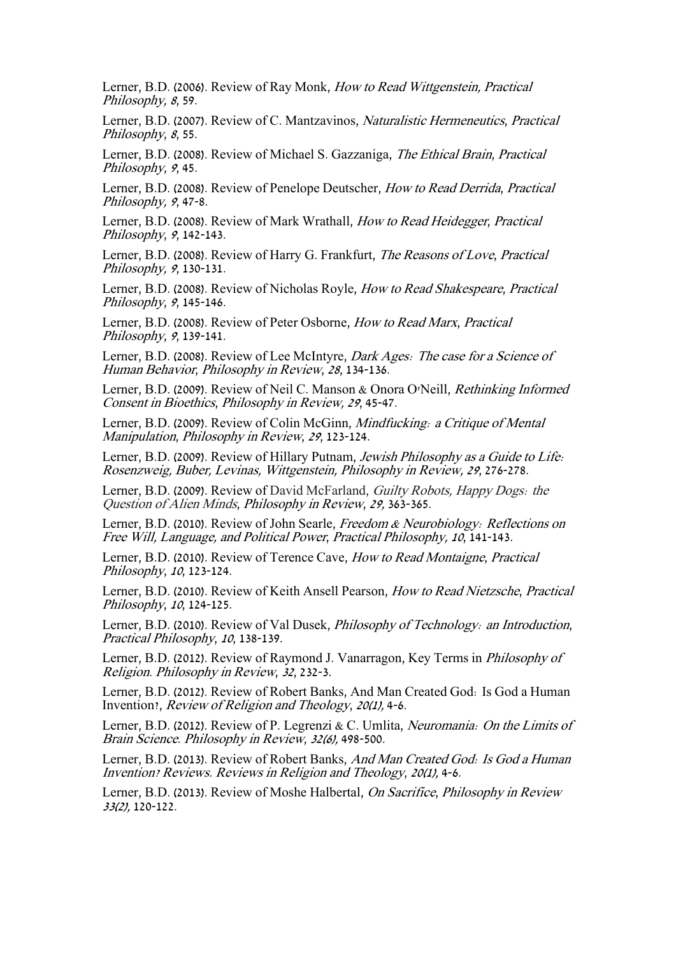Lerner, B.D. (2006). Review of Ray Monk, How to Read Wittgenstein, Practical Philosophy, 8, 59.

Lerner, B.D. (2007). Review of C. Mantzavinos, Naturalistic Hermeneutics, Practical Philosophy, 8, 55.

Lerner, B.D. (2008). Review of Michael S. Gazzaniga, The Ethical Brain, Practical Philosophy, 9, 45.

Lerner, B.D. (2008). Review of Penelope Deutscher, How to Read Derrida, Practical Philosophy, 9, 47-8.

Lerner, B.D. (2008). Review of Mark Wrathall, How to Read Heidegger, Practical Philosophy, <sup>9</sup>, 142-143.

Lerner, B.D. (2008). Review of Harry G. Frankfurt, The Reasons of Love, Practical Philosophy, 9, 130-131.

Lerner, B.D. (2008). Review of Nicholas Royle, How to Read Shakespeare, Practical Philosophy, 9, 145-146.

Lerner, B.D. (2008). Review of Peter Osborne, How to Read Marx, Practical Philosophy, 9, 139-141.

Lerner, B.D. (2008). Review of Lee McIntyre, Dark Ages: The case for a Science of Human Behavior, Philosophy in Review, 28, 134-136.

Lerner, B.D. (2009). Review of Neil C. Manson & Onora O'Neill, Rethinking Informed Consent in Bioethics, Philosophy in Review, 29, 45-47.

Lerner, B.D. (2009). Review of Colin McGinn, Mindfucking: a Critique of Mental Manipulation, Philosophy in Review, 29, 123-124.

Lerner, B.D. (2009). Review of Hillary Putnam, Jewish Philosophy as a Guide to Life: Rosenzweig, Buber, Levinas, Wittgenstein, Philosophy in Review, 29, 276-278.

Lerner, B.D. (2009). Review of David McFarland, Guilty Robots, Happy Dogs: the Question of Alien Minds, Philosophy in Review, 29, 363-365.

Lerner, B.D. (2010). Review of John Searle, Freedom & Neurobiology: Reflections on Free Will, Language, and Political Power, Practical Philosophy, 10, 141-143.

Lerner, B.D. (2010). Review of Terence Cave, How to Read Montaigne, Practical Philosophy, 10, 123-124.

Lerner, B.D. (2010). Review of Keith Ansell Pearson, How to Read Nietzsche, Practical Philosophy, 10, 124-125.

Lerner, B.D. (2010). Review of Val Dusek, Philosophy of Technology: an Introduction, Practical Philosophy, 10, 138-139.

Lerner, B.D. (2012). Review of Raymond J. Vanarragon, Key Terms in Philosophy of Religion. Philosophy in Review, 32, 232-3.

Lerner, B.D. (2012). Review of Robert Banks, And Man Created God: Is God a Human Invention?, Review of Religion and Theology, 20(1), 4-6.

Lerner, B.D. (2012). Review of P. Legrenzi & C. Umlita, Neuromania: On the Limits of Brain Science. Philosophy in Review, 32(6), 498-500.

Lerner, B.D. (2013). Review of Robert Banks, And Man Created God: Is God a Human Invention? Reviews. Reviews in Religion and Theology, 20(1), 4-6.

Lerner, B.D. (2013). Review of Moshe Halbertal, On Sacrifice, Philosophy in Review 33(2), 120-122.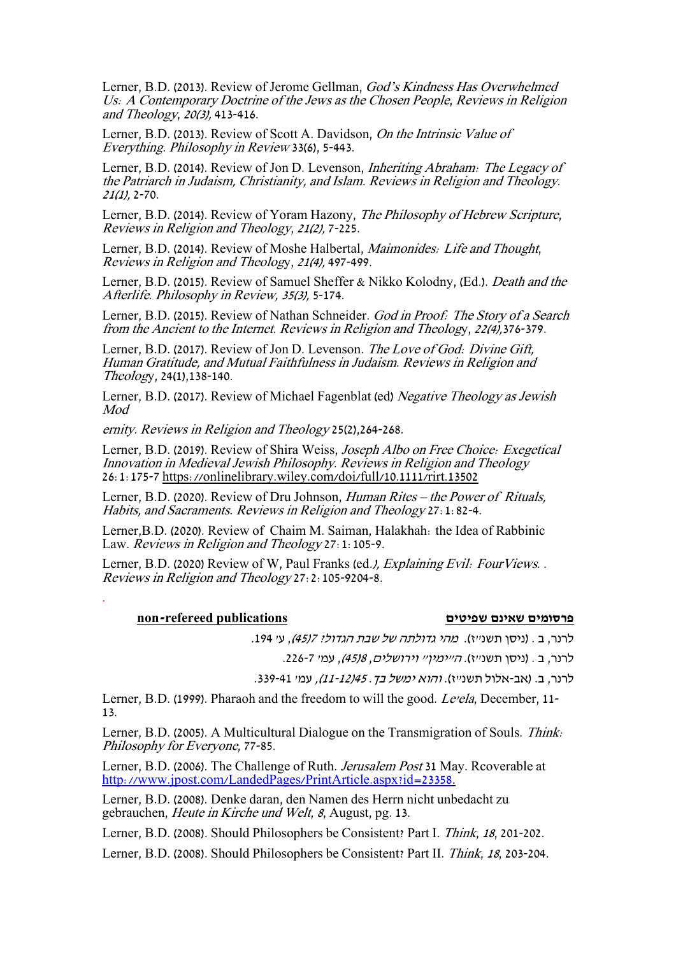Lerner, B.D. (2013). Review of Jerome Gellman, God's Kindness Has Overwhelmed Us: A Contemporary Doctrine of the Jews as the Chosen People, Reviews in Religion and Theology, 20(3), 413-416.

Lerner, B.D. (2013). Review of Scott A. Davidson, On the Intrinsic Value of Everything. Philosophy in Review 33(6), 5-443.

Lerner, B.D. (2014). Review of Jon D. Levenson, Inheriting Abraham: The Legacy of the Patriarch in Judaism, Christianity, and Islam. Reviews in Religion and Theology.  $21(1)$ , 2-70.

Lerner, B.D. (2014). Review of Yoram Hazony, The Philosophy of Hebrew Scripture, Reviews in Religion and Theology, 21(2), 7-225.

Lerner, B.D. (2014). Review of Moshe Halbertal, Maimonides: Life and Thought, Reviews in Religion and Theology, 21(4), 497-499.

Lerner, B.D. (2015). Review of Samuel Sheffer & Nikko Kolodny, (Ed.). Death and the Afterlife. Philosophy in Review, 35(3), 5-174.

Lerner, B.D. (2015). Review of Nathan Schneider. God in Proof: The Story of a Search from the Ancient to the Internet. Reviews in Religion and Theology, 22(4),376-379.

Lerner, B.D. (2017). Review of Jon D. Levenson. The Love of God: Divine Gift, Human Gratitude, and Mutual Faithfulness in Judaism. Reviews in Religion and Theology, 24(1),138-140.

Lerner, B.D. (2017). Review of Michael Fagenblat (ed) Negative Theology as Jewish Mod

ernity. Reviews in Religion and Theology 25(2),264-268.

Lerner, B.D. (2019). Review of Shira Weiss, Joseph Albo on Free Choice: Exegetical Innovation in Medieval Jewish Philosophy. Reviews in Religion and Theology 26:1:175-7<https://onlinelibrary.wiley.com/doi/full/10.1111/rirt.13502>

Lerner, B.D. (2020). Review of Dru Johnson, Human Rites – the Power of Rituals, Habits, and Sacraments. Reviews in Religion and Theology 27:1:82-4.

Lerner,B.D. (2020). Review of Chaim M. Saiman, Halakhah: the Idea of Rabbinic Law. Reviews in Religion and Theology 27: 1:105-9.

Lerner, B.D. (2020) Review of W, Paul Franks (ed. *), Explaining Evil: FourViews.* . Reviews in Religion and Theology 27:2:105-9204-8.

#### **פרסומים שאינם שפיטים publications refereed-non**

.

לרנר, ב . (ניסן תשנ"ז). מהי גדולתה של שבת הגדול? 45/7), ע' 194.

לרנר, ב . (ניסן תשנ"ז). *ה"ימיו" וירושלים, 45)8)*, עמ' 7-226.

לרנר, ב. (אב-אלול תשנ"ז). *והוא ימשל בך. 12/45-11),* עמ' 41-339.

Lerner, B.D. (1999). Pharaoh and the freedom to will the good. Le'ela, December, 11- 13.

Lerner, B.D. (2005). A Multicultural Dialogue on the Transmigration of Souls. Think: Philosophy for Everyone, 77-85.

Lerner, B.D. (2006). The Challenge of Ruth. Jerusalem Post 31 May. Rcoverable at [http://www.jpost.com/LandedPages/PrintArticle.aspx?id=23358.](http://www.jpost.com/LandedPages/PrintArticle.aspx?id=23358)

Lerner, B.D. (2008). Denke daran, den Namen des Herrn nicht unbedacht zu gebrauchen, Heute in Kirche und Welt, 8, August, pg. 13.

Lerner, B.D. (2008). Should Philosophers be Consistent? Part I. Think, 18, 201-202.

Lerner, B.D. (2008). Should Philosophers be Consistent? Part II. Think, 18, 203-204.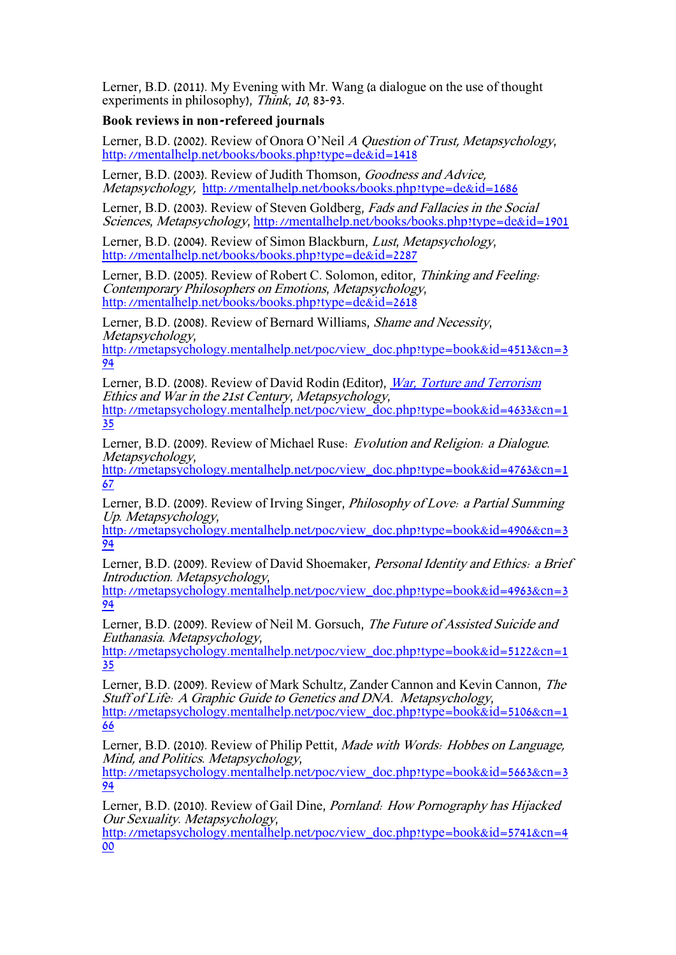Lerner, B.D. (2011). My Evening with Mr. Wang (a dialogue on the use of thought experiments in philosophy), Think, 10, 83-93.

### **Book reviews in non-refereed journals**

Lerner, B.D. (2002). Review of Onora O'Neil A Question of Trust, Metapsychology, <http://mentalhelp.net/books/books.php?type=de&id=1418>

Lerner, B.D. (2003). Review of Judith Thomson, Goodness and Advice, Metapsychology, <http://mentalhelp.net/books/books.php?type=de&id=1686>

Lerner, B.D. (2003). Review of Steven Goldberg, Fads and Fallacies in the Social Sciences, Metapsychology,<http://mentalhelp.net/books/books.php?type=de&id=1901>

Lerner, B.D. (2004). Review of Simon Blackburn, Lust, Metapsychology, <http://mentalhelp.net/books/books.php?type=de&id=2287>

Lerner, B.D. (2005). Review of Robert C. Solomon, editor, Thinking and Feeling: Contemporary Philosophers on Emotions, Metapsychology, <http://mentalhelp.net/books/books.php?type=de&id=2618>

Lerner, B.D. (2008). Review of Bernard Williams, Shame and Necessity, Metapsychology,

[http://metapsychology.mentalhelp.net/poc/view\\_doc.php?type=book&id=4513&cn=3](http://metapsychology.mentalhelp.net/poc/view_doc.php?type=book&id=4513&cn=394) [94](http://metapsychology.mentalhelp.net/poc/view_doc.php?type=book&id=4513&cn=394)

Lerner, B.D. (2008). Review of David Rodin (Editor), [War, Torture and Terrorism](http://www.amazon.com/exec/obidos/ASIN/140517398X/themetapsycholog) Ethics and War in the 21st Century, Metapsychology, [http://metapsychology.mentalhelp.net/poc/view\\_doc.php?type=book&id=4633&cn=1](http://metapsychology.mentalhelp.net/poc/view_doc.php?type=book&id=4633&cn=135) [35](http://metapsychology.mentalhelp.net/poc/view_doc.php?type=book&id=4633&cn=135)

Lerner, B.D. (2009). Review of Michael Ruse: Evolution and Religion: a Dialogue. Metapsychology,

[http://metapsychology.mentalhelp.net/poc/view\\_doc.php?type=book&id=4763&cn=1](http://metapsychology.mentalhelp.net/poc/view_doc.php?type=book&id=4763&cn=167) [67](http://metapsychology.mentalhelp.net/poc/view_doc.php?type=book&id=4763&cn=167)

Lerner, B.D. (2009). Review of Irving Singer, Philosophy of Love: a Partial Summing Up. Metapsychology,

[http://metapsychology.mentalhelp.net/poc/view\\_doc.php?type=book&id=4906&cn=3](http://metapsychology.mentalhelp.net/poc/view_doc.php?type=book&id=4906&cn=394) [94](http://metapsychology.mentalhelp.net/poc/view_doc.php?type=book&id=4906&cn=394)

Lerner, B.D. (2009). Review of David Shoemaker, Personal Identity and Ethics: a Brief Introduction. Metapsychology,

[http://metapsychology.mentalhelp.net/poc/view\\_doc.php?type=book&id=4963&cn=3](http://metapsychology.mentalhelp.net/poc/view_doc.php?type=book&id=4963&cn=394) [94](http://metapsychology.mentalhelp.net/poc/view_doc.php?type=book&id=4963&cn=394)

Lerner, B.D. (2009). Review of Neil M. Gorsuch, The Future of Assisted Suicide and Euthanasia. Metapsychology,

[http://metapsychology.mentalhelp.net/poc/view\\_doc.php?type=book&id=5122&cn=1](http://metapsychology.mentalhelp.net/poc/view_doc.php?type=book&id=5122&cn=135) [35](http://metapsychology.mentalhelp.net/poc/view_doc.php?type=book&id=5122&cn=135)

Lerner, B.D. (2009). Review of Mark Schultz, Zander Cannon and Kevin Cannon, The Stuff of Life: A Graphic Guide to Genetics and DNA. Metapsychology, [http://metapsychology.mentalhelp.net/poc/view\\_doc.php?type=book&id=5106&cn=1](http://metapsychology.mentalhelp.net/poc/view_doc.php?type=book&id=5106&cn=166)

[66](http://metapsychology.mentalhelp.net/poc/view_doc.php?type=book&id=5106&cn=166)

Lerner, B.D. (2010). Review of Philip Pettit, Made with Words: Hobbes on Language, Mind, and Politics. Metapsychology,

[http://metapsychology.mentalhelp.net/poc/view\\_doc.php?type=book&id=5663&cn=3](http://metapsychology.mentalhelp.net/poc/view_doc.php?type=book&id=5663&cn=394) [94](http://metapsychology.mentalhelp.net/poc/view_doc.php?type=book&id=5663&cn=394)

Lerner, B.D. (2010). Review of Gail Dine, Pornland: How Pornography has Hijacked Our Sexuality. Metapsychology,

[http://metapsychology.mentalhelp.net/poc/view\\_doc.php?type=book&id=5741&cn=4](http://metapsychology.mentalhelp.net/poc/view_doc.php?type=book&id=5741&cn=400) [00](http://metapsychology.mentalhelp.net/poc/view_doc.php?type=book&id=5741&cn=400)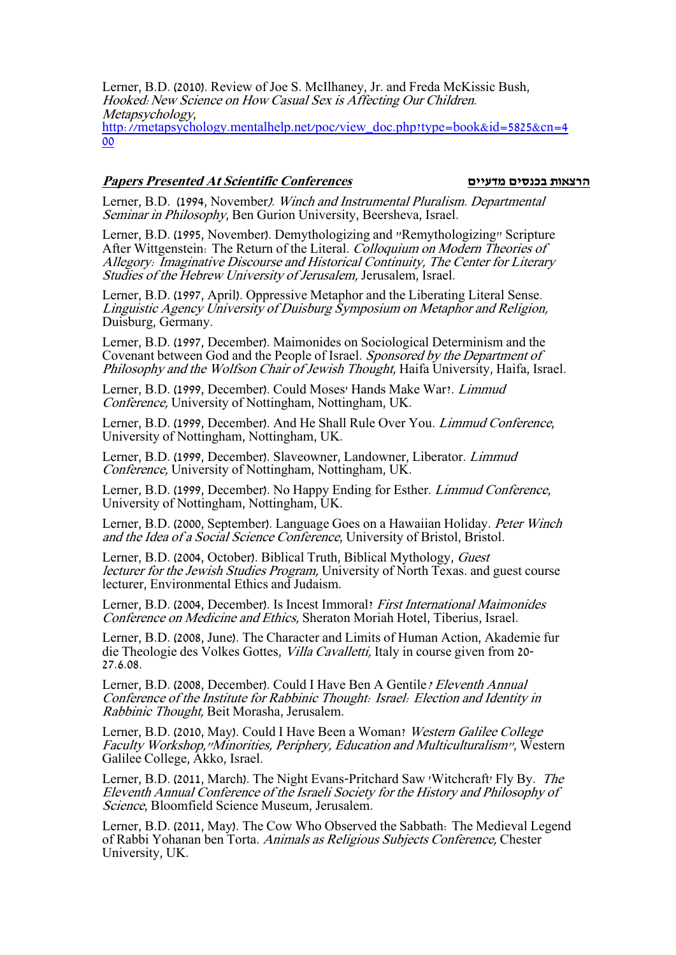Lerner, B.D. (2010). Review of Joe S. McIlhaney, Jr. and Freda McKissic Bush, Hooked:New Science on How Casual Sex is Affecting Our Children. Metapsychology, [http://metapsychology.mentalhelp.net/poc/view\\_doc.php?type=book&id=5825&cn=4](http://metapsychology.mentalhelp.net/poc/view_doc.php?type=book&id=5825&cn=400) [00](http://metapsychology.mentalhelp.net/poc/view_doc.php?type=book&id=5825&cn=400)

#### **Papers Presented At Scientific Conferences מדעיים בכנסים הרצאות**

Lerner, B.D. (1994, November). Winch and Instrumental Pluralism. Departmental Seminar in Philosophy, Ben Gurion University, Beersheva, Israel.

Lerner, B.D. (1995, November). Demythologizing and "Remythologizing" Scripture After Wittgenstein: The Return of the Literal. Colloquium on Modern Theories of Allegory: Imaginative Discourse and Historical Continuity, The Center for Literary Studies of the Hebrew University of Jerusalem, Jerusalem, Israel.

Lerner, B.D. (1997, April). Oppressive Metaphor and the Liberating Literal Sense. Linguistic Agency University of Duisburg Symposium on Metaphor and Religion, Duisburg, Germany.

Lerner, B.D. (1997, December). Maimonides on Sociological Determinism and the Covenant between God and the People of Israel. Sponsored by the Department of Philosophy and the Wolfson Chair of Jewish Thought, Haifa University, Haifa, Israel.

Lerner, B.D. (1999, December). Could Moses' Hands Make War?. Limmud Conference, University of Nottingham, Nottingham, UK.

Lerner, B.D. (1999, December). And He Shall Rule Over You. Limmud Conference, University of Nottingham, Nottingham, UK.

Lerner, B.D. (1999, December). Slaveowner, Landowner, Liberator. Limmud Conference, University of Nottingham, Nottingham, UK.

Lerner, B.D. (1999, December). No Happy Ending for Esther. Limmud Conference, University of Nottingham, Nottingham, UK.

Lerner, B.D. (2000, September). Language Goes on a Hawaiian Holiday. Peter Winch and the Idea of a Social Science Conference, University of Bristol, Bristol.

Lerner, B.D. (2004, October). Biblical Truth, Biblical Mythology, Guest lecturer for the Jewish Studies Program, University of North Texas. and guest course lecturer, Environmental Ethics and Judaism.

Lerner, B.D. (2004, December). Is Incest Immoral? First International Maimonides Conference on Medicine and Ethics, Sheraton Moriah Hotel, Tiberius, Israel.

Lerner, B.D. (2008, June). The Character and Limits of Human Action, Akademie fur die Theologie des Volkes Gottes, Villa Cavalletti, Italy in course given from 20- 27.6.08.

Lerner, B.D. (2008, December). Could I Have Ben A Gentile? Eleventh Annual Conference of the Institute for Rabbinic Thought: Israel: Election and Identity in Rabbinic Thought, Beit Morasha, Jerusalem.

Lerner, B.D. (2010, May). Could I Have Been a Woman? Western Galilee College Faculty Workshop,"Minorities, Periphery, Education and Multiculturalism", Western Galilee College, Akko, Israel.

Lerner, B.D. (2011, March). The Night Evans-Pritchard Saw 'Witchcraft' Fly By. The Eleventh Annual Conference of the Israeli Society for the History and Philosophy of Science, Bloomfield Science Museum, Jerusalem.

Lerner, B.D. (2011, May). The Cow Who Observed the Sabbath: The Medieval Legend of Rabbi Yohanan ben Torta. Animals as Religious Subjects Conference, Chester University, UK.